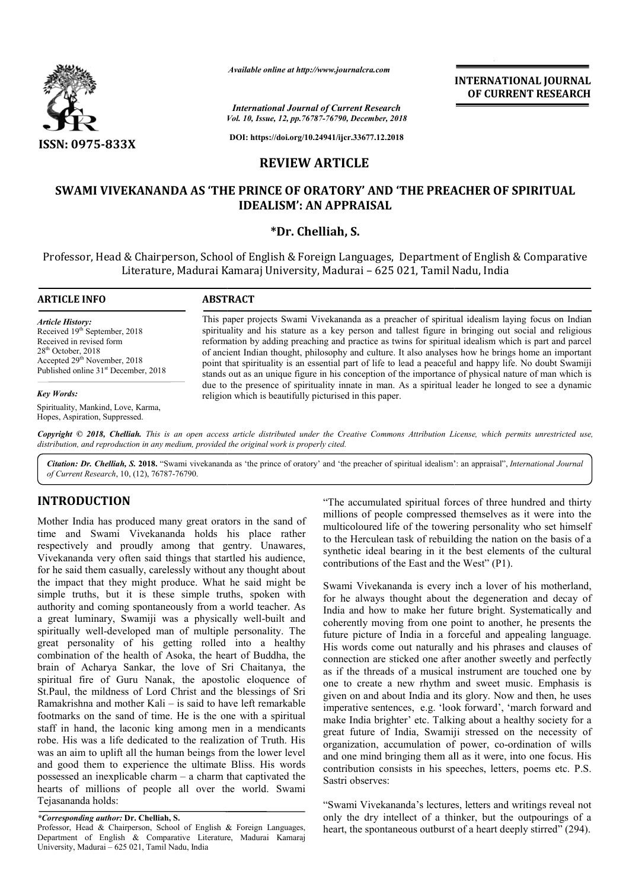

*Available online at http://www.journalcra.com*

*International Journal of Current Research*

**INTERNATIONAL JOURNAL OF CURRENT RESEARCH**

*Vol. 10, Issue, 12, pp.76787-76790, December, 2018* **DOI: https://doi.org/10.24941/ijcr.33677.12.2018**

## **REVIEW ARTICLE**

## SWAMI VIVEKANANDA AS 'THE PRINCE OF ORATORY' AND 'THE PREACHER OF SPIRITUAL **IDEALISM': AN APPRAISAL**

### **\*Dr. Chelliah, S.**

Professor, Head & Chairperson, School of English & Foreign Languages, Department of English & Comparative English & Literature, Madurai Kamaraj University, Madurai – 625 021, Tamil Nadu, India

#### **ARTICLE INFO ABSTRACT** This paper projects Swami Vivekananda as a preacher of spiritual idealism laying focus on Indian spirituality and his stature as a key person and tallest figure in bringing out social and religious reformation by adding preaching and practice as twins for spiritual idealism which is part and parcel of ancient Indian thought, philosophy and culture. It also analyses how he brings home an important point that spirituality is an essential part of life to lead a peaceful and happy life. No doubt Swamiji stands out as an unique figure in his conception of the importance of physical nature of man which is due to the presence of spirituality innate in man. As a spiritual leader he longed to see a dynamic religion which is beautifully picturised in this paper. *Article History:* Received 19<sup>th</sup> September, 2018 Received in revised form 28th October, 2018 Accepted 29<sup>th</sup> November, 2018 Published online 31<sup>st</sup> December, 2018 *Key Words:* Spirituality, Mankind, Love, Karma, spirituality and his stature as a key person and tallest figure in bringing out social and religious<br>reformation by adding preaching and practice as twins for spiritual idealism which is part and parcel<br>of ancient Indian t

Copyright © 2018, Chelliah. This is an open access article distributed under the Creative Commons Attribution License, which permits unrestricted use, *distribution, and reproduction in any medium, provided the original work is properly cited.*

Citation: Dr. Chelliah, S. 2018. "Swami vivekananda as 'the prince of oratory' and 'the preacher of spiritual idealism': an appraisal", International Journal *of Current Research*, 10, (12), 76787-76790.

# **INTRODUCTION**

Hopes, Aspiration, Suppressed.

Mother India has produced many great orators in the sand of time and Swami Vivekananda holds his place rather respectively and proudly among that gentry. Unawares, Vivekananda very often said things that startled his audience, for he said them casually, carelessly without any thought about the impact that they might produce. What he said might be simple truths, but it is these simple truths, spoken with authority and coming spontaneously from a world teacher. As the impact that they might produce. What he said might be simple truths, but it is these simple truths, spoken with authority and coming spontaneously from a world teacher. As a great luminary, Swamiji was a physically wel spiritually well-developed man of multiple personality. The great personality of his getting rolled into a healthy combination of the health of Asoka, the heart of Buddha, the brain of Acharya Sankar, the love of Sri Chaitanya, the spiritual fire of Guru Nanak, the apostolic eloquence of St.Paul, the mildness of Lord Christ and the blessings of Sri Ramakrishna and mother Kali – is said to have left remarkable footmarks on the sand of time. He is the one with a spiritual staff in hand, the laconic king among men in a mendicants robe. His was a life dedicated to the realization of Truth. His was an aim to uplift all the human beings from the lower level and good them to experience the ultimate Bliss. His words possessed an inexplicable charm – a charm that captivated the hearts of millions of people all over the world. Swami Tejasananda holds:

"The accumulated spiritual forces of three hundred and thirty millions of people compressed themselves as it were into the multicoloured life of the towering personality who set himself to the Herculean task of rebuilding the nation on the basis of a synthetic ideal bearing in it the best elements of the cultural contributions of the East and the West" (P1) "The accumulated spiritual forces of three hundred an millions of people compressed themselves as it were multicoloured life of the towering personality who set to the Herculean task of rebuilding the nation on the basynth

Swami Vivekananda is every inch a lover of his motherland, for he always thought about the degeneration and decay of India and how to make her future bright. Systematically and coherently moving from one point to another, he presents the future picture of India in a forceful and appealing language. His words come out naturally and his phrases and clauses of connection are sticked one after another as if the threads of a musical instrument are touched one by one to create a new rhythm and sweet music. Emphasis is given on and about India and its glory. Now and then, he uses imperative sentences, e.g. 'look forward', 'march forward and make India brighter' etc. Talking about a healthy society for a great future of India, Swamiji stressed on the necessity of organization, accumulation of power, co and one mind bringing them all as it were, into one focus. His contribution consists in his speeches, letters, poems etc. P.S. Sastri observes: i Vivekananda is every inch a lover of his motherland,<br>always thought about the degeneration and decay of<br>and how to make her future bright. Systematically and India in a forceful and appealing language.<br>
out naturally and his phrases and clauses of<br>
cked one after another sweetly and perfectly threads of a musical instrument are touched one by reate a new rhythm and sweet music. Emphasis is and about India and its glory. Now and then, he uses e sentences, e.g. 'look forward', 'march forward and make India brighter' etc. Talking about a healthy society for a great future of India, Swamiji stressed on the necessity of organization, accumulation of power, co-ordination of wills one mind bringing them all as it were, into one focus. H<br>ribution consists in his speeches, letters, poems etc. P.<br>ri observes:<br>ami Vivekananda's lectures, letters and writings reveal n<br>the dry intellect of a thinker, but

"Swami Vivekananda's lectures, letters and writings reveal not only the dry intellect of a thinker, but the outpourings of a heart, the spontaneous outburst of a heart deeply stirred" (294).

*<sup>\*</sup>Corresponding author:* **Dr. Chelliah, S.**

Professor, Head & Chairperson, School of English & Foreign Languages, Department of English & Comparative Literature, Madurai Kamaraj University, Madurai – 625 021, Tamil Nadu, India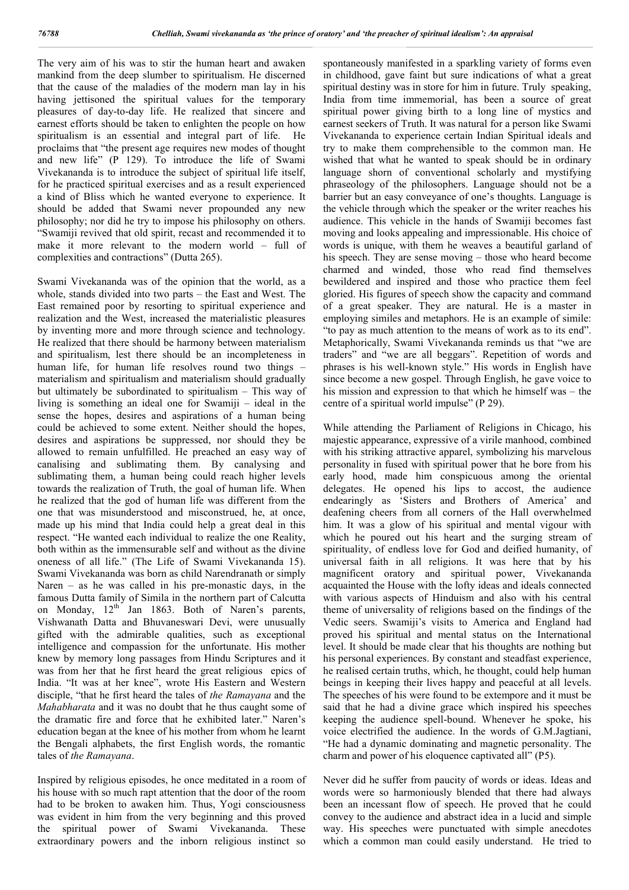The very aim of his was to stir the human heart and awaken mankind from the deep slumber to spiritualism. He discerned that the cause of the maladies of the modern man lay in his having jettisoned the spiritual values for the temporary pleasures of day-to-day life. He realized that sincere and earnest efforts should be taken to enlighten the people on how spiritualism is an essential and integral part of life. He proclaims that "the present age requires new modes of thought and new life" (P 129). To introduce the life of Swami Vivekananda is to introduce the subject of spiritual life itself, for he practiced spiritual exercises and as a result experienced a kind of Bliss which he wanted everyone to experience. It should be added that Swami never propounded any new philosophy; nor did he try to impose his philosophy on others. "Swamiji revived that old spirit, recast and recommended it to make it more relevant to the modern world – full of complexities and contractions" (Dutta 265).

Swami Vivekananda was of the opinion that the world, as a whole, stands divided into two parts – the East and West. The East remained poor by resorting to spiritual experience and realization and the West, increased the materialistic pleasures by inventing more and more through science and technology. He realized that there should be harmony between materialism and spiritualism, lest there should be an incompleteness in human life, for human life resolves round two things – materialism and spiritualism and materialism should gradually but ultimately be subordinated to spiritualism – This way of living is something an ideal one for Swamiii – ideal in the sense the hopes, desires and aspirations of a human being could be achieved to some extent. Neither should the hopes, desires and aspirations be suppressed, nor should they be allowed to remain unfulfilled. He preached an easy way of canalising and sublimating them. By canalysing and sublimating them, a human being could reach higher levels towards the realization of Truth, the goal of human life. When he realized that the god of human life was different from the one that was misunderstood and misconstrued, he, at once, made up his mind that India could help a great deal in this respect. "He wanted each individual to realize the one Reality, both within as the immensurable self and without as the divine oneness of all life." (The Life of Swami Vivekananda 15). Swami Vivekananda was born as child Narendranath or simply Naren – as he was called in his pre-monastic days, in the famous Dutta family of Simila in the northern part of Calcutta on Monday, 12<sup>th</sup> Jan 1863. Both of Naren's parents, Vishwanath Datta and Bhuvaneswari Devi, were unusually gifted with the admirable qualities, such as exceptional intelligence and compassion for the unfortunate. His mother knew by memory long passages from Hindu Scriptures and it was from her that he first heard the great religious epics of India. "It was at her knee", wrote His Eastern and Western disciple, "that he first heard the tales of *the Ramayana* and the *Mahabharata* and it was no doubt that he thus caught some of the dramatic fire and force that he exhibited later." Naren's education began at the knee of his mother from whom he learnt the Bengali alphabets, the first English words, the romantic tales of *the Ramayana*.

Inspired by religious episodes, he once meditated in a room of his house with so much rapt attention that the door of the room had to be broken to awaken him. Thus, Yogi consciousness was evident in him from the very beginning and this proved the spiritual power of Swami Vivekananda. These extraordinary powers and the inborn religious instinct so

spontaneously manifested in a sparkling variety of forms even in childhood, gave faint but sure indications of what a great spiritual destiny was in store for him in future. Truly speaking, India from time immemorial, has been a source of great spiritual power giving birth to a long line of mystics and earnest seekers of Truth. It was natural for a person like Swami Vivekananda to experience certain Indian Spiritual ideals and try to make them comprehensible to the common man. He wished that what he wanted to speak should be in ordinary language shorn of conventional scholarly and mystifying phraseology of the philosophers. Language should not be a barrier but an easy conveyance of one's thoughts. Language is the vehicle through which the speaker or the writer reaches his audience. This vehicle in the hands of Swamiji becomes fast moving and looks appealing and impressionable. His choice of words is unique, with them he weaves a beautiful garland of his speech. They are sense moving – those who heard become charmed and winded, those who read find themselves bewildered and inspired and those who practice them feel gloried. His figures of speech show the capacity and command of a great speaker. They are natural. He is a master in employing similes and metaphors. He is an example of simile: "to pay as much attention to the means of work as to its end". Metaphorically, Swami Vivekananda reminds us that "we are traders" and "we are all beggars". Repetition of words and phrases is his well-known style." His words in English have since become a new gospel. Through English, he gave voice to his mission and expression to that which he himself was – the centre of a spiritual world impulse" (P 29).

While attending the Parliament of Religions in Chicago, his majestic appearance, expressive of a virile manhood, combined with his striking attractive apparel, symbolizing his marvelous personality in fused with spiritual power that he bore from his early hood, made him conspicuous among the oriental delegates. He opened his lips to accost, the audience endearingly as 'Sisters and Brothers of America' and deafening cheers from all corners of the Hall overwhelmed him. It was a glow of his spiritual and mental vigour with which he poured out his heart and the surging stream of spirituality, of endless love for God and deified humanity, of universal faith in all religions. It was here that by his magnificent oratory and spiritual power, Vivekananda acquainted the House with the lofty ideas and ideals connected with various aspects of Hinduism and also with his central theme of universality of religions based on the findings of the Vedic seers. Swamiji's visits to America and England had proved his spiritual and mental status on the International level. It should be made clear that his thoughts are nothing but his personal experiences. By constant and steadfast experience, he realised certain truths, which, he thought, could help human beings in keeping their lives happy and peaceful at all levels. The speeches of his were found to be extempore and it must be said that he had a divine grace which inspired his speeches keeping the audience spell-bound. Whenever he spoke, his voice electrified the audience. In the words of G.M.Jagtiani, "He had a dynamic dominating and magnetic personality. The charm and power of his eloquence captivated all" (P5).

Never did he suffer from paucity of words or ideas. Ideas and words were so harmoniously blended that there had always been an incessant flow of speech. He proved that he could convey to the audience and abstract idea in a lucid and simple way. His speeches were punctuated with simple anecdotes which a common man could easily understand. He tried to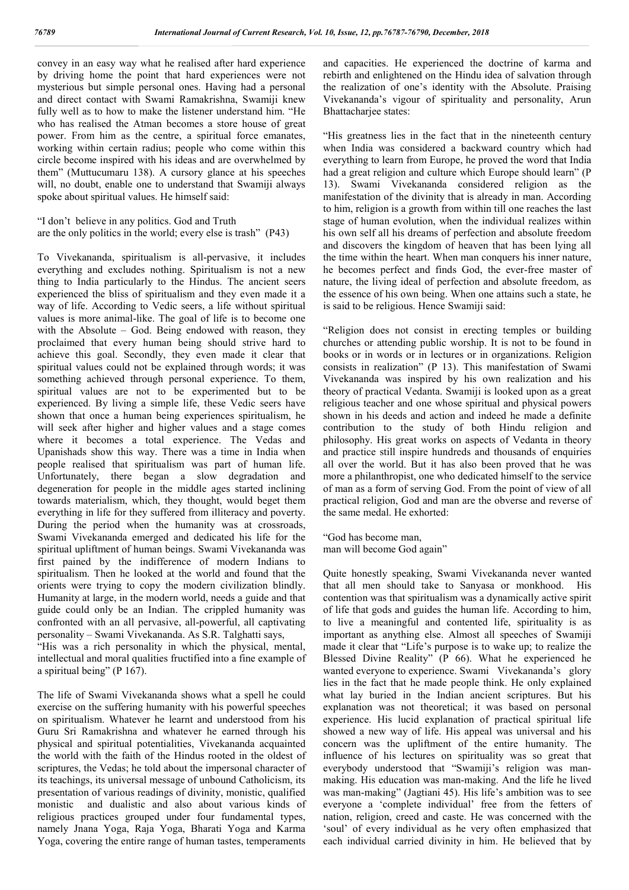convey in an easy way what he realised after hard experience by driving home the point that hard experiences were not mysterious but simple personal ones. Having had a personal and direct contact with Swami Ramakrishna, Swamiji knew fully well as to how to make the listener understand him. "He who has realised the Atman becomes a store house of great power. From him as the centre, a spiritual force emanates, working within certain radius; people who come within this circle become inspired with his ideas and are overwhelmed by them" (Muttucumaru 138). A cursory glance at his speeches will, no doubt, enable one to understand that Swamiji always spoke about spiritual values. He himself said:

"I don't believe in any politics. God and Truth are the only politics in the world; every else is trash" (P43)

To Vivekananda, spiritualism is all-pervasive, it includes everything and excludes nothing. Spiritualism is not a new thing to India particularly to the Hindus. The ancient seers experienced the bliss of spiritualism and they even made it a way of life. According to Vedic seers, a life without spiritual values is more animal-like. The goal of life is to become one with the Absolute – God. Being endowed with reason, they proclaimed that every human being should strive hard to achieve this goal. Secondly, they even made it clear that spiritual values could not be explained through words; it was something achieved through personal experience. To them, spiritual values are not to be experimented but to be experienced. By living a simple life, these Vedic seers have shown that once a human being experiences spiritualism, he will seek after higher and higher values and a stage comes where it becomes a total experience. The Vedas and Upanishads show this way. There was a time in India when people realised that spiritualism was part of human life. Unfortunately, there began a slow degradation and degeneration for people in the middle ages started inclining towards materialism, which, they thought, would beget them everything in life for they suffered from illiteracy and poverty. During the period when the humanity was at crossroads, Swami Vivekananda emerged and dedicated his life for the spiritual upliftment of human beings. Swami Vivekananda was first pained by the indifference of modern Indians to spiritualism. Then he looked at the world and found that the orients were trying to copy the modern civilization blindly. Humanity at large, in the modern world, needs a guide and that guide could only be an Indian. The crippled humanity was confronted with an all pervasive, all-powerful, all captivating personality – Swami Vivekananda. As S.R. Talghatti says,

"His was a rich personality in which the physical, mental, intellectual and moral qualities fructified into a fine example of a spiritual being" (P 167).

The life of Swami Vivekananda shows what a spell he could exercise on the suffering humanity with his powerful speeches on spiritualism. Whatever he learnt and understood from his Guru Sri Ramakrishna and whatever he earned through his physical and spiritual potentialities, Vivekananda acquainted the world with the faith of the Hindus rooted in the oldest of scriptures, the Vedas; he told about the impersonal character of its teachings, its universal message of unbound Catholicism, its presentation of various readings of divinity, monistic, qualified monistic and dualistic and also about various kinds of religious practices grouped under four fundamental types, namely Jnana Yoga, Raja Yoga, Bharati Yoga and Karma Yoga, covering the entire range of human tastes, temperaments

and capacities. He experienced the doctrine of karma and rebirth and enlightened on the Hindu idea of salvation through the realization of one's identity with the Absolute. Praising Vivekananda's vigour of spirituality and personality, Arun Bhattacharjee states:

"His greatness lies in the fact that in the nineteenth century when India was considered a backward country which had everything to learn from Europe, he proved the word that India had a great religion and culture which Europe should learn" (P 13). Swami Vivekananda considered religion as the manifestation of the divinity that is already in man. According to him, religion is a growth from within till one reaches the last stage of human evolution, when the individual realizes within his own self all his dreams of perfection and absolute freedom and discovers the kingdom of heaven that has been lying all the time within the heart. When man conquers his inner nature, he becomes perfect and finds God, the ever-free master of nature, the living ideal of perfection and absolute freedom, as the essence of his own being. When one attains such a state, he is said to be religious. Hence Swamiji said:

"Religion does not consist in erecting temples or building churches or attending public worship. It is not to be found in books or in words or in lectures or in organizations. Religion consists in realization" (P 13). This manifestation of Swami Vivekananda was inspired by his own realization and his theory of practical Vedanta. Swamiji is looked upon as a great religious teacher and one whose spiritual and physical powers shown in his deeds and action and indeed he made a definite contribution to the study of both Hindu religion and philosophy. His great works on aspects of Vedanta in theory and practice still inspire hundreds and thousands of enquiries all over the world. But it has also been proved that he was more a philanthropist, one who dedicated himself to the service of man as a form of serving God. From the point of view of all practical religion, God and man are the obverse and reverse of the same medal. He exhorted:

"God has become man, man will become God again"

Quite honestly speaking, Swami Vivekananda never wanted that all men should take to Sanyasa or monkhood. His contention was that spiritualism was a dynamically active spirit of life that gods and guides the human life. According to him, to live a meaningful and contented life, spirituality is as important as anything else. Almost all speeches of Swamiji made it clear that "Life's purpose is to wake up; to realize the Blessed Divine Reality" (P 66). What he experienced he wanted everyone to experience. Swami Vivekananda's glory lies in the fact that he made people think. He only explained what lay buried in the Indian ancient scriptures. But his explanation was not theoretical; it was based on personal experience. His lucid explanation of practical spiritual life showed a new way of life. His appeal was universal and his concern was the upliftment of the entire humanity. The influence of his lectures on spirituality was so great that everybody understood that "Swamiji's religion was manmaking. His education was man-making. And the life he lived was man-making" (Jagtiani 45). His life's ambition was to see everyone a 'complete individual' free from the fetters of nation, religion, creed and caste. He was concerned with the 'soul' of every individual as he very often emphasized that each individual carried divinity in him. He believed that by